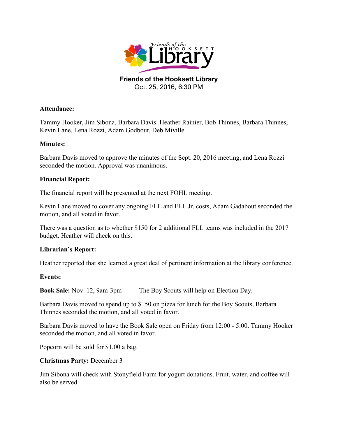

Oct. 25, 2016, 6:30 PM

### **Attendance:**

Tammy Hooker, Jim Sibona, Barbara Davis. Heather Rainier, Bob Thinnes, Barbara Thinnes, Kevin Lane, Lena Rozzi, Adam Godbout, Deb Miville

## **Minutes:**

Barbara Davis moved to approve the minutes of the Sept. 20, 2016 meeting, and Lena Rozzi seconded the motion. Approval was unanimous.

### **Financial Report:**

The financial report will be presented at the next FOHL meeting.

Kevin Lane moved to cover any ongoing FLL and FLL Jr. costs, Adam Gadabout seconded the motion, and all voted in favor.

There was a question as to whether \$150 for 2 additional FLL teams was included in the 2017 budget. Heather will check on this.

## **Librarian's Report:**

Heather reported that she learned a great deal of pertinent information at the library conference.

#### **Events:**

**Book Sale:** Nov. 12, 9am-3pm The Boy Scouts will help on Election Day.

Barbara Davis moved to spend up to \$150 on pizza for lunch for the Boy Scouts, Barbara Thinnes seconded the motion, and all voted in favor.

Barbara Davis moved to have the Book Sale open on Friday from 12:00 - 5:00. Tammy Hooker seconded the motion, and all voted in favor.

Popcorn will be sold for \$1.00 a bag.

#### **Christmas Party:** December 3

Jim Sibona will check with Stonyfield Farm for yogurt donations. Fruit, water, and coffee will also be served.